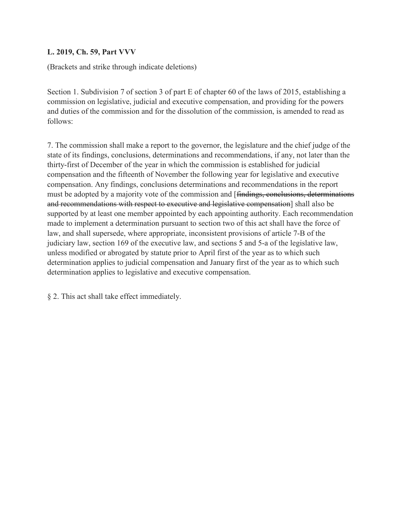## **L. 2019, Ch. 59, Part VVV**

(Brackets and strike through indicate deletions)

Section 1. Subdivision 7 of section 3 of part E of chapter 60 of the laws of 2015, establishing a commission on legislative, judicial and executive compensation, and providing for the powers and duties of the commission and for the dissolution of the commission, is amended to read as follows:

7. The commission shall make a report to the governor, the legislature and the chief judge of the state of its findings, conclusions, determinations and recommendations, if any, not later than the thirty-first of December of the year in which the commission is established for judicial compensation and the fifteenth of November the following year for legislative and executive compensation. Any findings, conclusions determinations and recommendations in the report must be adopted by a majority vote of the commission and [findings, conclusions, determinations and recommendations with respect to executive and legislative compensation] shall also be supported by at least one member appointed by each appointing authority. Each recommendation made to implement a determination pursuant to section two of this act shall have the force of law, and shall supersede, where appropriate, inconsistent provisions of article 7-B of the judiciary law, section 169 of the executive law, and sections 5 and 5-a of the legislative law, unless modified or abrogated by statute prior to April first of the year as to which such determination applies to judicial compensation and January first of the year as to which such determination applies to legislative and executive compensation.

§ 2. This act shall take effect immediately.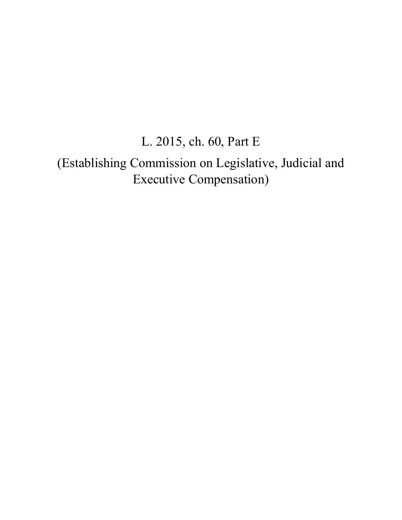## L. 2015, ch. 60, Part E

(Establishing Commission on Legislative, Judicial and Executive Compensation)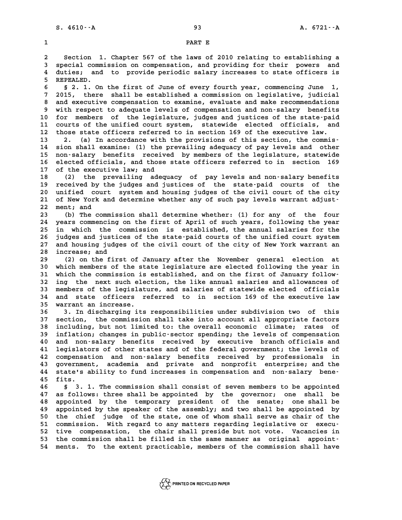**2** Section 1. Chapter 567 of the laws of 2010 relating to establishing a<br>**2** Section 1. Chapter 567 of the laws of 2010 relating to establishing a<br>**2** special commission on compensation, and providing for their powers and **3** Section 1. Chapter 567 of the laws of 2010 relating to establishing a<br>3 special commission on compensation, and providing for their powers and<br>4 duties: and to provide periodic salary increases to state officers is **4 due to analytical Section 1. Chapter 567 of the laws of 2010 relating to establishing a**<br>**4 duties; and to provide periodic salary increases to state officers is**<br>**5 DEDEALED** 3 special comm<br>4 duties; and<br>5 REPEALED.<br>5 3 1 OP 4 duties; and to provide periodic salary increases to state officers is<br>5 REPEALED.<br>6 § 2. 1. On the first of June of every fourth year, commencing June 1,<br>7 <sup>2015</sup> there shall be attablished a commission on logislative in **7** REPEALED.<br> **6** § 2. 1. On the first of June of every fourth year, commencing June 1,<br> **7** 2015, there shall be established a commission on legislative, judicial<br>
<sup>9</sup> 3nd arountive componention to are inc. avaluate and **8 2. 1.** On the first of June of every fourth year, commencing June 1,<br> **8 and executive compensation to examine, evaluate and make recommendations**<br> **8 with respect to adequate levels of compensation and populary bonofit** 2015, there shall be established a commission on legislative, judicial<br>8 and executive compensation to examine, evaluate and make recommendations<br>9 with respect to adequate levels of compensation and non-salary benefits<br>0 8 and executive compensation to examine, evaluate and make recommendations<br>9 with respect to adequate levels of compensation and non-salary benefits<br>10 for members of the legislature, judges and justices of the state-paid<br> 9 with respect to adequate levels of compensation and non-salary benefits<br>10 for members of the legislature, judges and justices of the state-paid<br>11 courts of the unified court system, statewide elected officials, and<br><sup>12</sup> 10 for members of the legislature, judges and justices of the state-paid<br>11 courts of the unified court system, statewide elected officials, and<br>12 those state officers referred to in section 169 of the executive law.<br>13 2 **13 2. (a) In accordance with the provisions of this section, the commis-12 those state officers referred to in section 169 of the executive law.**<br> **13 2. (a) In accordance with the provisions of this section, the commis-**<br> **14 sion shall examine:** (1) the prevailing adequacy of pay levels and 13 2. (a) In accordance with the provisions of this section, the commis-<br>14 sion shall examine: (1) the prevailing adequacy of pay levels and other<br>15 non-salary benefits received by members of the legislature, statewide<br>1 14 sion shall examine: (1) the prevailing adequacy of pay levels and other<br>15 non-salary benefits received by members of the legislature, statewide<br>16 elected officials, and those state officers referred to in section 169<br> 15 non-salary benefits received by members of the legislature, statewide<br>16 elected officials, and those state officers referred to in section 169<br>17 of the executive law; and<br>18 (2) the prevailing adequacy of pay levels a 16 elected officials, and those state officers referred to in section 169<br>17 of the executive law; and<br>18 (2) the prevailing adequacy of pay levels and non-salary benefits<br>19 received by the judges and justices of the stat 17 of the executive law; and<br>18 (2) the prevailing adequacy of pay levels and non-salary benefits<br>19 received by the judges and justices of the state-paid courts of the<br>20 unified court, system and bousing judges of the gi 18 (2) the prevailing adequacy of pay levels and non-salary benefits<br>19 received by the judges and justices of the state-paid courts of the<br>20 unified court system and housing judges of the civil court of the city<br>21 of No 19 received by the judges and justices of the state-paid courts of the unified court system and housing judges of the civil court of the city of New York and determine whether any of such pay levels warrant adjust-<br><sup>22</sup> me 20 unified cou<br>21 of New York<br>22 ment; and<br><sup>23</sup> (b) The 20 21 of New York and determine whether any of such pay levels warrant adjust-<br>22 ment; and<br>(b) The commission shall determine whether: (1) for any of the four<br>24 upars sermanaing on the first of April of such years following 22 ment; and<br>
23 (b) The commission shall determine whether: (1) for any of the four<br>
24 years commencing on the first of April of such years, following the year<br>
25 in which the commission is established, the annual salar (b) The commission shall determine whether: (1) for any of the four<br>24 years commencing on the first of April of such years, following the year<br>25 in which the commission is established, the annual salaries for the<br><sup>26</sup> in 24 years commencing on the first of April of such years, following the year<br>25 in which the commission is established, the annual salaries for the<br>26 judges and justices of the state-paid courts of the unified court system 25 in which the commission is established, the annual salaries for the<br>26 judges and justices of the state-paid courts of the unified court system<br>27 and housing judges of the civil court of the city of New York warrant an 26 judges and justi<br>27 and housing judg<br>28 increase; and<br>29 (2) on the fir 27 and housing judges of the civil court of the city of New York warrant an<br>28 increase; and<br>29 (2) on the first of January after the November general election at<br>30 which members of the state legislature are elected follo **38 increase; and<br>
29 (2) on the first of January after the November general election at<br>
30 which members of the state legislature are elected following the year in<br>
31 which the commission is established, and on the firs** 29 (2) on the first of January after the November general election at<br>30 which members of the state legislature are elected following the year in<br>31 which the commission is established, and on the first of January follow-<br> 30 which members of the state legislature are elected following the year in<br>31 which the commission is established, and on the first of January follow-<br>32 ing the next such election, the like annual salaries and allowances 31 which the commission is established, and on the first of January follow-<br>32 ing the next such election, the like annual salaries and allowances of<br>33 members of the legislature, and salaries of statewide elected officia 32 ing the next such election, the like annual salaries and allowances of<br>33 members of the legislature, and salaries of statewide elected officials<br>34 and state officers referred to in section 169 of the executive law<br><sup>25</sup> 33 members of the legislature, and salaries of statewide elected officials<br>34 and state officers referred to in section 169 of the executive law<br>35 warrant an increase.<br>36 3. In discharging its responsibilities under subdi **34 and state officers referred to in section 169 of the executive law**<br>35 warrant an increase.<br>36 3. In discharging its responsibilities under subdivision two of this<br>27 section the commission shall take inte asseurt all **35 warrant an increase.<br>36 3. In discharging its responsibilities under subdivision two of this<br>37 section, the commission shall take into account all appropriate factors<br>38 including but not limited to, the everall econo** 36 3. In discharging its responsibilities under subdivision two of this<br>37 section, the commission shall take into account all appropriate factors<br>38 including, but not limited to: the overall economic climate; rates of<br>in 37 section, the commission shall take into account all appropriate factors<br>38 including, but not limited to: the overall economic climate; rates of<br>39 inflation; changes in public-sector spending; the levels of compensatio 38 including, but not limited to: the overall economic climate; rates of inflation; changes in public-sector spending; the levels of compensation 40 and non-salary benefits received by executive branch officials and 1 legi **41 legislators of other states and of the federal government; the levels of** 40 and non-salary benefits received by executive branch officials and<br>41 legislators of other states and of the federal government; the levels of<br>42 compensation and non-salary benefits received by professionals in<br>43 cove 41 legislators of other states and of the federal government; the levels of<br>42 compensation and non-salary benefits received by professionals in<br>43 government, academia and private and nonprofit enterprise; and the<br>44 stat 42 compensation and non-salary benefits received by professionals in<br>43 government, academia and private and nonprofit enterprise; and the<br>44 state's ability to fund increases in compensation and non-salary bene-<br><sup>45 fit</sup> 43 government, academia and private and nonprofit enterprise; and the<br>44 state's ability to fund increases in compensation and non-salary bene-<br>45 fits.<br>8 3. 1. The commission shall consist of seven members to be appointed **46 § 3. 1. The commission shall consist of seven members to be appointed 47 as follows: three shall be appointed by the governor; one shall be 46** § 3.1. The commission shall consist of seven members to be appointed 47 as follows: three shall be appointed by the senate; one shall be appointed by the temporary president of the senate; one shall be appointed by th 47 as follows: three shall be appointed by the governor; one shall be appointed by the temporary president of the senate; one shall be appointed by the speaker of the assembly; and two shall be appointed by<br>the shief indee 48 appointed by the temporary president of the senate; one shall be<br>49 appointed by the speaker of the assembly; and two shall be appointed by<br>50 the chief judge of the state, one of whom shall serve as chair of the<br>51 com 49 appointed by the speaker of the assembly; and two shall be appointed by<br>
50 the chief judge of the state, one of whom shall serve as chair of the<br>
51 commission. With regard to any matters regarding legislative or execu 50 the chief judge of the state, one of whom shall serve as chair of the 51 commission. With regard to any matters regarding legislative or execu-<br>52 tive compensation, the chair shall preside but not vote. Vacancies in<br>53 51 commission. With regard to any matters regarding legislative or execu-<br>
52 tive compensation, the chair shall preside but not vote. Vacancies in<br>
53 the commission shall be filled in the same manner as original appoint-52 tive compensation, the chair shall preside but not vote. Vacancies in<br>53 the commission shall be filled in the same manner as original appoint-<br>54 ments. To the extent practicable, members of the commission shall have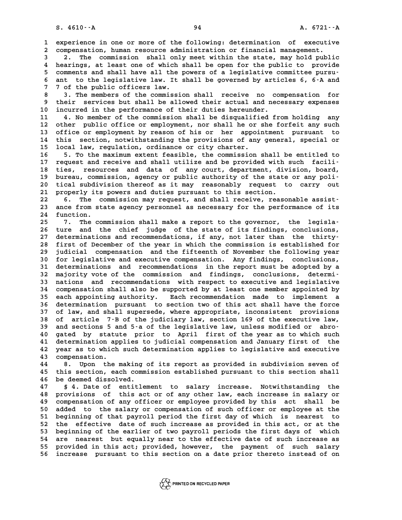**1** experience in one or more of the following: determination of executive<br> **1** experience in one or more of the following: determination of executive<br> **1** componention buman resource administration or financial management **2** experience in one or more of the following: determination of executive compensation, human resource administration or financial management. **3** 2. The commission shall only meet within the state, may hold public<br> **3** 2. The commission shall only meet within the state, may hold public<br>
<sup>1</sup> begring at least one of which shall be onen for the public is provide

2 compensation, human resource administration or financial management.<br>
4 hearings, at least one of which shall be open for the public to provide<br>  $\frac{1}{2}$  comments and shall be public and shall be open for the public to 3 2. The commission shall only meet within the state, may hold public<br>4 hearings, at least one of which shall be open for the public to provide<br>5 comments and shall have all the powers of a legislative committee pursu-<br>5 a **6 4** hearings, at least one of which shall be open for the public to provide<br>5 comments and shall have all the powers of a legislative committee pursu-<br>6 ant to the legislative law. It shall be governed by articles 6, 6-A 5 comments and shall have all the powers of a legislative committee pursu-<br>6 ant to the legislative law. It shall be governed by articles 6, 6-A and<br>7 7 of the public officers law.<br>8 3. The members of the commission shall **8 3. The members of the commission shall receive no compensation for**

**9 their services but shall be allowed their actual and necessary expenses 10 incurred in the performance of their duties hereunder.** 9 their services but shall be allowed their actual and necessary expenses<br>10 incurred in the performance of their duties hereunder.<br>11 4. No member of the commission shall be disqualified from holding any<br>12 other public o

10 incurred in the performance of their duties hereunder.<br>
11 4. No member of the commission shall be disqualified from holding any<br>
12 other public office or employment, nor shall he or she forfeit any such<br>
13 office or 11 4. No member of the commission shall be disqualified from holding any<br>12 other public office or employment, nor shall he or she forfeit any such<br>13 office or employment by reason of his or her appointment pursuant to<br>14 12 other public office or employment, nor shall he or she forfeit any such<br>13 office or employment by reason of his or her appointment pursuant to<br>14 this section, notwithstanding the provisions of any general, special or<br> 13 office or employment by reason of his or her appointment pursuant to<br>14 this section, notwithstanding the provisions of any general, special or<br>15 local law, regulation, ordinance or city charter.<br>16 5. To the maximum e 14 this section, notwithstanding the provisions of any general, special or<br>15 local law, regulation, ordinance or city charter.<br>16 5. To the maximum extent feasible, the commission shall be entitled to<br>17 request and requi

15 local law, regulation, ordinance or city charter.<br>
16 5. To the maximum extent feasible, the commission shall be entitled to<br>
17 request and receive and shall utilize and be provided with such facili-<br>
<sup>19</sup> tion procura 16 5. To the maximum extent feasible, the commission shall be entitled to<br>17 request and receive and shall utilize and be provided with such facili-<br>18 ties, resources and data of any court, department, division, board,<br>hy 17 request and receive and shall utilize and be provided with such facili-<br>18 ties, resources and data of any court, department, division, board,<br>19 bureau, commission, agency or public authority of the state or any poli-<br> 18 ties, resources and data of any court, department, division, board,<br>19 bureau, commission, agency or public authority of the state or any poli-<br>20 tical subdivision thereof as it may reasonably request to carry out<br>21 p 20 bureau, commission, agency or public authority of the state or any poli-<br>20 tical subdivision thereof as it may reasonably request to carry out<br>21 properly its powers and duties pursuant to this section.<br>22 6. The commi 20 tical subdivision thereof as it may reasonably request to carry out<br>
21 properly its powers and duties pursuant to this section.<br>
22 6. The commission may request, and shall receive, reasonable assist-<br>
23 ance from sta

21 properly its powers and duties pursuant to this section.<br>22 6. The commission may request, and shall receive, reasonable assist-<br>23 ance from state agency personnel as necessary for the performance of its<br><sup>24</sup> function 22 6. The c.<br>23 ance from st.<br>24 function. 23 ance from state agency personnel as necessary for the performance of its<br>24 function.<br>25 7. The commission shall make a report to the governor, the legisla-<br>26 ture and the shief indee of the state of its findings, cons

24 function.<br>25 7. The commission shall make a report to the governor, the legisla-<br>26 ture and the chief judge of the state of its findings, conclusions,<br>27 determinations and recommondations if any not later than the thi 7. The commission shall make a report to the governor, the legisla-<br>
26 ture and the chief judge of the state of its findings, conclusions,<br>
27 determinations and recommendations, if any, not later than the thirty-<br>
28 fir 7. The commission shall make a report to the governor, the legisla-<br>26 ture and the chief judge of the state of its findings, conclusions,<br>27 determinations and recommendations, if any, not later than the thirty-<br>28 first 27 determinations and recommendations, if any, not later than the thirty-<br>28 first of December of the year in which the commission is established for<br>29 judicial compensation and the fifteenth of November the following yea 28 first of December of the year in which the commission is established for<br>29 judicial compensation and the fifteenth of November the following year<br>30 for legislative and executive compensation. Any findings, conclusions 30 judicial compensation and the fifteenth of November the following year<br>30 for legislative and executive compensation. Any findings, conclusions,<br>31 determinations and recommendations in the report must be adopted by a<br><sup></sup> 30 for legislative and executive compensation. Any findings, conclusions,<br>31 determinations and recommendations in the report must be adopted by a<br>32 majority vote of the commission and findings, conclusions, determi-<br>33 n 31 determinations and recommendations in the report must be adopted by a<br>32 majority vote of the commission and findings, conclusions, determi-<br>33 nations and recommendations with respect to executive and legislative<br>24 co 32 majority vote of the commission and findings, conclusions, determi-<br>33 nations and recommendations with respect to executive and legislative<br>34 compensation shall also be supported by at least one member appointed by<br>25 33 nations and recommendations with respect to executive and legislative<br>34 compensation shall also be supported by at least one member appointed by<br>35 each appointing authority. Each recommendation made to implement a<br>36 34 compensation shall also be supported by at least one member appointed by<br>35 each appointing authority. Each recommendation made to implement a<br>36 determination pursuant to section two of this act shall have the force<br><sup>3</sup> 35 each appointing authority. Each recommendation made to implement a<br>36 determination pursuant to section two of this act shall have the force<br>37 of law, and shall supersede, where appropriate, inconsistent provisions<br>38 36 determination pursuant to section two of this act shall have the force<br>37 of law, and shall supersede, where appropriate, inconsistent provisions<br>38 of article 7-B of the judiciary law, section 169 of the executive law, 37 of law, and shall supersede, where appropriate, inconsistent provisions<br>38 of article 7-B of the judiciary law, section 169 of the executive law,<br>39 and sections 5 and 5-a of the legislative law, unless modified or abro **40 gated by statute prior to April first of the year as to which such** 39 and sections 5 and 5-a of the legislative law, unless modified or abro-<br>40 gated by statute prior to April first of the year as to which such<br>41 determination applies to judicial compensation and January first of the<br>42 40 gated by statute prior to April first of the year as to which such<br>41 determination applies to judicial compensation and January first of the<br>42 year as to which such determination applies to legislative and executive<br>4 41 determination ap:<br>42 year as to which<br>43 compensation.<br><sup>44</sup> <sup>8</sup> Upon the 1 **42 year as to which such determination applies to legislative and executive**<br>**43 compensation.**<br>**8. Upon the making of its report as provided in subdivision seven of<br>this section, each commission established pursuant to t** 

43 compensation.<br>44 8. Upon the making of its report as provided in subdivision seven of<br>45 this section, each commission established pursuant to this section shall<br>46 be deemed dissolved. 45 this section, each commission established pursuant to this section shall<br>46 be deemed dissolved.<br>47 § 4. Date of entitlement to salary increase. Notwithstanding the

**47 § 4. Date of entitlement to salary increase. Notwithstanding the 46 be deemed dissolved.**<br>47 § 4. Date of entitlement to salary increase. Notwithstanding the<br>48 provisions of this act or of any other law, each increase in salary or<br>49 componention of any officer or employee provided by **47** § 4. Date of entitlement to salary increase. Notwithstanding the<br>48 provisions of this act or of any other law, each increase in salary or<br>49 compensation of any officer or employee provided by this act shall be<br>50 ad 48 provisions of this act or of any other law, each increase in salary or<br>49 compensation of any officer or employee provided by this act shall be<br>50 added to the salary or compensation of such officer or employee at the<br>5 compensation of any officer or employee provided by this act shall be<br>50 added to the salary or compensation of such officer or employee at the<br>51 beginning of that payroll period the first day of which is nearest to<br>52 th 50 added to the salary or compensation of such officer or employee at the<br>51 beginning of that payroll period the first day of which is nearest to<br>52 the effective date of such increase as provided in this act, or at the<br>5 51 beginning of that payroll period the first day of which is nearest to<br>52 the effective date of such increase as provided in this act, or at the<br>53 beginning of the earlier of two payroll periods the first days of which<br> 52 the effective date of such increase as provided in this act, or at the<br>53 beginning of the earlier of two payroll periods the first days of which<br>54 are nearest but equally near to the effective date of such increase as **53 beginning of the earlier of two payroll periods the first days of which<br>54 are nearest but equally near to the effective date of such increase as<br>55 provided in this act; provided, however, the payment of such salary**<br> 54 are nearest but equally near to the effective date of such increase as<br>55 provided in this act; provided, however, the payment of such salary<br>56 increase pursuant to this section on a date prior thereto instead of on